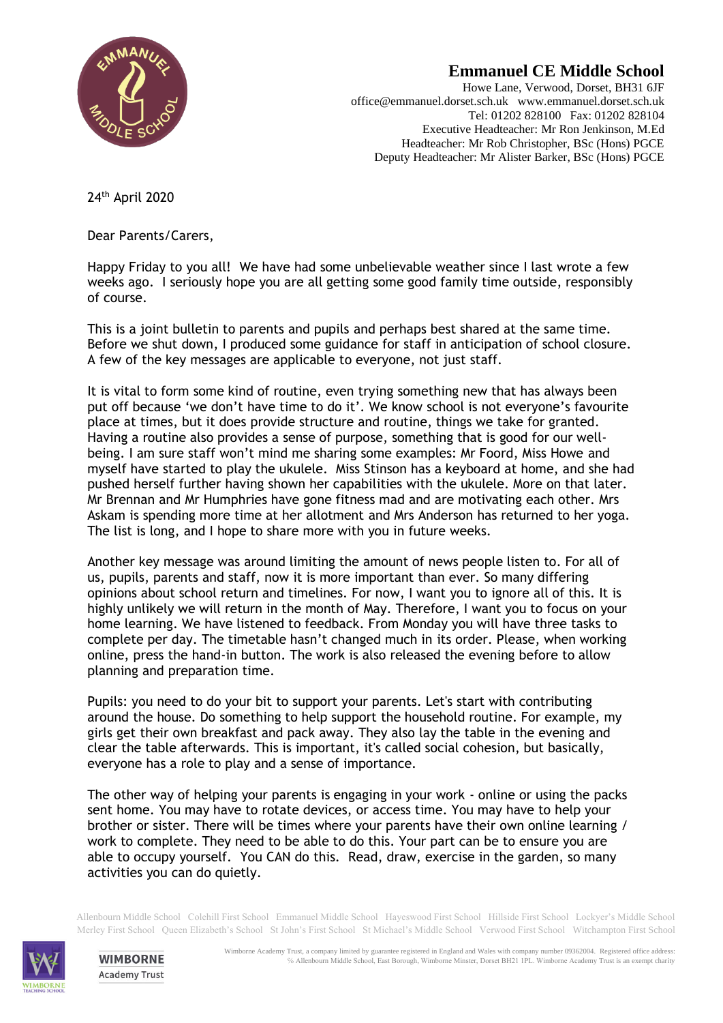

## **Emmanuel CE Middle School**

Howe Lane, Verwood, Dorset, BH31 6JF office@emmanuel.dorset.sch.uk www.emmanuel.dorset.sch.uk Tel: 01202 828100 Fax: 01202 828104 Executive Headteacher: Mr Ron Jenkinson, M.Ed Headteacher: Mr Rob Christopher, BSc (Hons) PGCE Deputy Headteacher: Mr Alister Barker, BSc (Hons) PGCE

24th April 2020

Dear Parents/Carers,

Happy Friday to you all! We have had some unbelievable weather since I last wrote a few weeks ago. I seriously hope you are all getting some good family time outside, responsibly of course.

This is a joint bulletin to parents and pupils and perhaps best shared at the same time. Before we shut down, I produced some guidance for staff in anticipation of school closure. A few of the key messages are applicable to everyone, not just staff.

It is vital to form some kind of routine, even trying something new that has always been put off because 'we don't have time to do it'. We know school is not everyone's favourite place at times, but it does provide structure and routine, things we take for granted. Having a routine also provides a sense of purpose, something that is good for our wellbeing. I am sure staff won't mind me sharing some examples: Mr Foord, Miss Howe and myself have started to play the ukulele. Miss Stinson has a keyboard at home, and she had pushed herself further having shown her capabilities with the ukulele. More on that later. Mr Brennan and Mr Humphries have gone fitness mad and are motivating each other. Mrs Askam is spending more time at her allotment and Mrs Anderson has returned to her yoga. The list is long, and I hope to share more with you in future weeks.

Another key message was around limiting the amount of news people listen to. For all of us, pupils, parents and staff, now it is more important than ever. So many differing opinions about school return and timelines. For now, I want you to ignore all of this. It is highly unlikely we will return in the month of May. Therefore, I want you to focus on your home learning. We have listened to feedback. From Monday you will have three tasks to complete per day. The timetable hasn't changed much in its order. Please, when working online, press the hand-in button. The work is also released the evening before to allow planning and preparation time.

Pupils: you need to do your bit to support your parents. Let's start with contributing around the house. Do something to help support the household routine. For example, my girls get their own breakfast and pack away. They also lay the table in the evening and clear the table afterwards. This is important, it's called social cohesion, but basically, everyone has a role to play and a sense of importance.

The other way of helping your parents is engaging in your work - online or using the packs sent home. You may have to rotate devices, or access time. You may have to help your brother or sister. There will be times where your parents have their own online learning / work to complete. They need to be able to do this. Your part can be to ensure you are able to occupy yourself. You CAN do this. Read, draw, exercise in the garden, so many activities you can do quietly.

Allenbourn Middle School Colehill First School Emmanuel Middle School Hayeswood First School Hillside First School Lockyer's Middle School Merley First School Queen Elizabeth's School St John's First School St Michael's Middle School Verwood First School Witchampton First School



**WIMBORNE Academy Trust**  Wimborne Academy Trust, a company limited by guarantee registered in England and Wales with company number 09362004. Registered office address: ℅ Allenbourn Middle School, East Borough, Wimborne Minster, Dorset BH21 1PL. Wimborne Academy Trust is an exempt charity